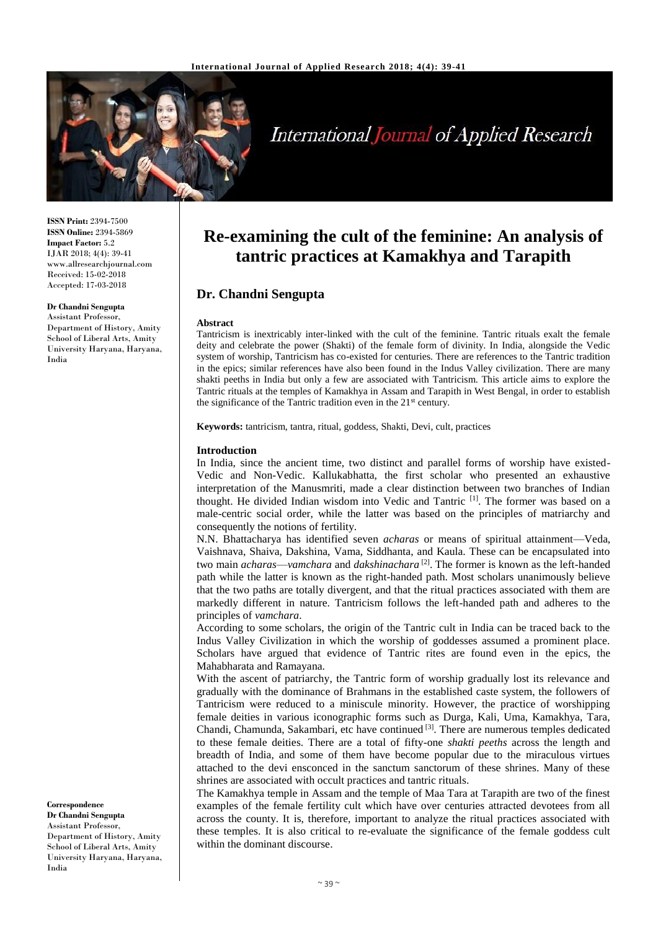

# **International Journal of Applied Research**

**ISSN Print:** 2394-7500 **ISSN Online:** 2394-5869 **Impact Factor:** 5.2 IJAR 2018; 4(4): 39-41 www.allresearchjournal.com Received: 15-02-2018 Accepted: 17-03-2018

#### **Dr Chandni Sengupta**

Assistant Professor, Department of History, Amity School of Liberal Arts, Amity University Haryana, Haryana, India

**Correspondence Dr Chandni Sengupta** Assistant Professor, Department of History, Amity School of Liberal Arts, Amity University Haryana, Haryana, India

# **Re-examining the cult of the feminine: An analysis of tantric practices at Kamakhya and Tarapith**

## **Dr. Chandni Sengupta**

#### **Abstract**

Tantricism is inextricably inter-linked with the cult of the feminine. Tantric rituals exalt the female deity and celebrate the power (Shakti) of the female form of divinity. In India, alongside the Vedic system of worship, Tantricism has co-existed for centuries. There are references to the Tantric tradition in the epics; similar references have also been found in the Indus Valley civilization. There are many shakti peeths in India but only a few are associated with Tantricism. This article aims to explore the Tantric rituals at the temples of Kamakhya in Assam and Tarapith in West Bengal, in order to establish the significance of the Tantric tradition even in the  $21<sup>st</sup>$  century.

**Keywords:** tantricism, tantra, ritual, goddess, Shakti, Devi, cult, practices

#### **Introduction**

In India, since the ancient time, two distinct and parallel forms of worship have existed-Vedic and Non-Vedic. Kallukabhatta, the first scholar who presented an exhaustive interpretation of the Manusmriti, made a clear distinction between two branches of Indian thought. He divided Indian wisdom into Vedic and Tantric [1]. The former was based on a male-centric social order, while the latter was based on the principles of matriarchy and consequently the notions of fertility.

N.N. Bhattacharya has identified seven *acharas* or means of spiritual attainment—Veda, Vaishnava, Shaiva, Dakshina, Vama, Siddhanta, and Kaula. These can be encapsulated into two main *acharas*—*vamchara* and *dakshinachara* [2] . The former is known as the left-handed path while the latter is known as the right-handed path. Most scholars unanimously believe that the two paths are totally divergent, and that the ritual practices associated with them are markedly different in nature. Tantricism follows the left-handed path and adheres to the principles of *vamchara*.

According to some scholars, the origin of the Tantric cult in India can be traced back to the Indus Valley Civilization in which the worship of goddesses assumed a prominent place. Scholars have argued that evidence of Tantric rites are found even in the epics, the Mahabharata and Ramayana.

With the ascent of patriarchy, the Tantric form of worship gradually lost its relevance and gradually with the dominance of Brahmans in the established caste system, the followers of Tantricism were reduced to a miniscule minority. However, the practice of worshipping female deities in various iconographic forms such as Durga, Kali, Uma, Kamakhya, Tara, Chandi, Chamunda, Sakambari, etc have continued <sup>[3]</sup>. There are numerous temples dedicated to these female deities. There are a total of fifty-one *shakti peeths* across the length and breadth of India, and some of them have become popular due to the miraculous virtues attached to the devi ensconced in the sanctum sanctorum of these shrines. Many of these shrines are associated with occult practices and tantric rituals.

The Kamakhya temple in Assam and the temple of Maa Tara at Tarapith are two of the finest examples of the female fertility cult which have over centuries attracted devotees from all across the county. It is, therefore, important to analyze the ritual practices associated with these temples. It is also critical to re-evaluate the significance of the female goddess cult within the dominant discourse.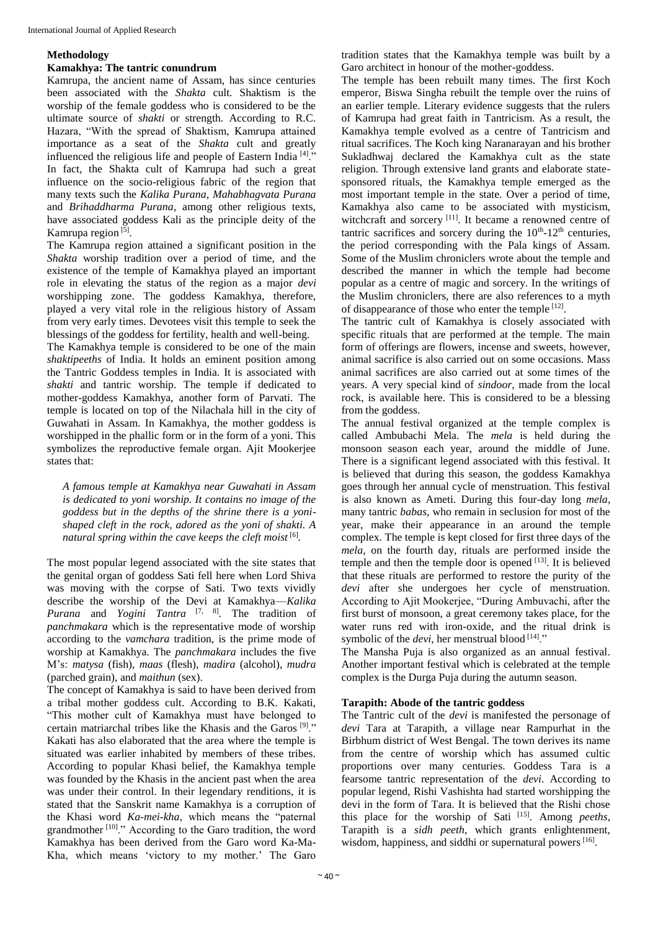#### **Methodology**

### **Kamakhya: The tantric conundrum**

Kamrupa, the ancient name of Assam, has since centuries been associated with the *Shakta* cult. Shaktism is the worship of the female goddess who is considered to be the ultimate source of *shakti* or strength. According to R.C. Hazara, "With the spread of Shaktism, Kamrupa attained importance as a seat of the *Shakta* cult and greatly influenced the religious life and people of Eastern India<sup>[4]</sup>." In fact, the Shakta cult of Kamrupa had such a great influence on the socio-religious fabric of the region that many texts such the *Kalika Purana*, *Mahabhagvata Purana* and *Brihaddharma Purana*, among other religious texts, have associated goddess Kali as the principle deity of the Kamrupa region<sup>[5]</sup>.

The Kamrupa region attained a significant position in the *Shakta* worship tradition over a period of time, and the existence of the temple of Kamakhya played an important role in elevating the status of the region as a major *devi* worshipping zone. The goddess Kamakhya, therefore, played a very vital role in the religious history of Assam from very early times. Devotees visit this temple to seek the blessings of the goddess for fertility, health and well-being.

The Kamakhya temple is considered to be one of the main *shaktipeeths* of India. It holds an eminent position among the Tantric Goddess temples in India. It is associated with *shakti* and tantric worship. The temple if dedicated to mother-goddess Kamakhya, another form of Parvati. The temple is located on top of the Nilachala hill in the city of Guwahati in Assam. In Kamakhya, the mother goddess is worshipped in the phallic form or in the form of a yoni. This symbolizes the reproductive female organ. Ajit Mookerjee states that:

*A famous temple at Kamakhya near Guwahati in Assam is dedicated to yoni worship. It contains no image of the goddess but in the depths of the shrine there is a yonishaped cleft in the rock, adored as the yoni of shakti. A natural spring within the cave keeps the cleft moist* [6] *.*

The most popular legend associated with the site states that the genital organ of goddess Sati fell here when Lord Shiva was moving with the corpse of Sati. Two texts vividly describe the worship of the Devi at Kamakhya—*Kalika Purana* and *Yogini Tantra* [7, 8] . The tradition of *panchmakara* which is the representative mode of worship according to the *vamchara* tradition, is the prime mode of worship at Kamakhya. The *panchmakara* includes the five M's: *matysa* (fish), *maas* (flesh), *madira* (alcohol), *mudra* (parched grain), and *maithun* (sex).

The concept of Kamakhya is said to have been derived from a tribal mother goddess cult. According to B.K. Kakati, "This mother cult of Kamakhya must have belonged to certain matriarchal tribes like the Khasis and the Garos<sup>[9]</sup>." Kakati has also elaborated that the area where the temple is situated was earlier inhabited by members of these tribes. According to popular Khasi belief, the Kamakhya temple was founded by the Khasis in the ancient past when the area was under their control. In their legendary renditions, it is stated that the Sanskrit name Kamakhya is a corruption of the Khasi word *Ka-mei-kha*, which means the "paternal grandmother  $[10]$ ." According to the Garo tradition, the word Kamakhya has been derived from the Garo word Ka-Ma-Kha, which means 'victory to my mother.' The Garo

tradition states that the Kamakhya temple was built by a Garo architect in honour of the mother-goddess.

The temple has been rebuilt many times. The first Koch emperor, Biswa Singha rebuilt the temple over the ruins of an earlier temple. Literary evidence suggests that the rulers of Kamrupa had great faith in Tantricism. As a result, the Kamakhya temple evolved as a centre of Tantricism and ritual sacrifices. The Koch king Naranarayan and his brother Sukladhwaj declared the Kamakhya cult as the state religion. Through extensive land grants and elaborate statesponsored rituals, the Kamakhya temple emerged as the most important temple in the state. Over a period of time, Kamakhya also came to be associated with mysticism, witchcraft and sorcery [11]. It became a renowned centre of tantric sacrifices and sorcery during the  $10<sup>th</sup>$ -12<sup>th</sup> centuries, the period corresponding with the Pala kings of Assam. Some of the Muslim chroniclers wrote about the temple and described the manner in which the temple had become popular as a centre of magic and sorcery. In the writings of the Muslim chroniclers, there are also references to a myth of disappearance of those who enter the temple  $[12]$ .

The tantric cult of Kamakhya is closely associated with specific rituals that are performed at the temple. The main form of offerings are flowers, incense and sweets, however, animal sacrifice is also carried out on some occasions. Mass animal sacrifices are also carried out at some times of the years. A very special kind of *sindoor*, made from the local rock, is available here. This is considered to be a blessing from the goddess.

The annual festival organized at the temple complex is called Ambubachi Mela. The *mela* is held during the monsoon season each year, around the middle of June. There is a significant legend associated with this festival. It is believed that during this season, the goddess Kamakhya goes through her annual cycle of menstruation. This festival is also known as Ameti. During this four-day long *mela*, many tantric *babas*, who remain in seclusion for most of the year, make their appearance in an around the temple complex. The temple is kept closed for first three days of the *mela*, on the fourth day, rituals are performed inside the temple and then the temple door is opened  $[13]$ . It is believed that these rituals are performed to restore the purity of the *devi* after she undergoes her cycle of menstruation. According to Ajit Mookerjee, "During Ambuvachi, after the first burst of monsoon, a great ceremony takes place, for the water runs red with iron-oxide, and the ritual drink is symbolic of the *devi*, her menstrual blood<sup>[14]</sup>."

The Mansha Puja is also organized as an annual festival. Another important festival which is celebrated at the temple complex is the Durga Puja during the autumn season.

#### **Tarapith: Abode of the tantric goddess**

The Tantric cult of the *devi* is manifested the personage of *devi* Tara at Tarapith, a village near Rampurhat in the Birbhum district of West Bengal. The town derives its name from the centre of worship which has assumed cultic proportions over many centuries. Goddess Tara is a fearsome tantric representation of the *devi*. According to popular legend, Rishi Vashishta had started worshipping the devi in the form of Tara. It is believed that the Rishi chose this place for the worship of Sati [15] . Among *peeths*, Tarapith is a *sidh peeth*, which grants enlightenment, wisdom, happiness, and siddhi or supernatural powers<sup>[16]</sup>.